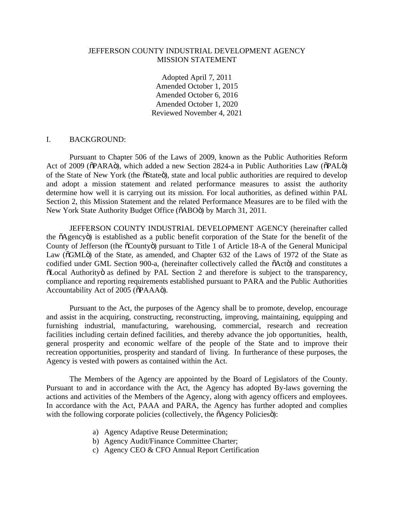## JEFFERSON COUNTY INDUSTRIAL DEVELOPMENT AGENCY MISSION STATEMENT

Adopted April 7, 2011 Amended October 1, 2015 Amended October 6, 2016 Amended October 1, 2020 Reviewed November 4, 2021

## I. BACKGROUND:

Pursuant to Chapter 506 of the Laws of 2009, known as the Public Authorities Reform Act of 2009 ( $\delta$ PARA $\ddot{o}$ ), which added a new Section 2824-a in Public Authorities Law ( $\delta$ PAL $\ddot{o}$ ) of the State of New York (the  $\tilde{o}$ State $\tilde{o}$ ), state and local public authorities are required to develop and adopt a mission statement and related performance measures to assist the authority determine how well it is carrying out its mission. For local authorities, as defined within PAL Section 2, this Mission Statement and the related Performance Measures are to be filed with the New York State Authority Budget Office ( $\delta$ ABO $\ddot{o}$ ) by March 31, 2011.

JEFFERSON COUNTY INDUSTRIAL DEVELOPMENT AGENCY (hereinafter called the "Agency") is established as a public benefit corporation of the State for the benefit of the County of Jefferson (the  $\tilde{\text{o}}$ Countyo) pursuant to Title 1 of Article 18-A of the General Municipal Law ( $\delta$ GML $\ddot{o}$ ) of the State, as amended, and Chapter 632 of the Laws of 1972 of the State as codified under GML Section 900-a, (hereinafter collectively called the  $\tilde{o}$ Act<sub>o</sub>) and constitutes a  $\delta$ Local Authority as defined by PAL Section 2 and therefore is subject to the transparency, compliance and reporting requirements established pursuant to PARA and the Public Authorities Accountability Act of 2005 ( $\delta$ PAAA $\ddot{o}$ ).

Pursuant to the Act, the purposes of the Agency shall be to promote, develop, encourage and assist in the acquiring, constructing, reconstructing, improving, maintaining, equipping and furnishing industrial, manufacturing, warehousing, commercial, research and recreation facilities including certain defined facilities, and thereby advance the job opportunities, health, general prosperity and economic welfare of the people of the State and to improve their recreation opportunities, prosperity and standard of living. In furtherance of these purposes, the Agency is vested with powers as contained within the Act.

The Members of the Agency are appointed by the Board of Legislators of the County. Pursuant to and in accordance with the Act, the Agency has adopted By-laws governing the actions and activities of the Members of the Agency, along with agency officers and employees. In accordance with the Act, PAAA and PARA, the Agency has further adopted and complies with the following corporate policies (collectively, the  $\tilde{o}$ Agency Policies $\tilde{o}$ ):

- a) Agency Adaptive Reuse Determination;
- b) Agency Audit/Finance Committee Charter;
- c) Agency CEO & CFO Annual Report Certification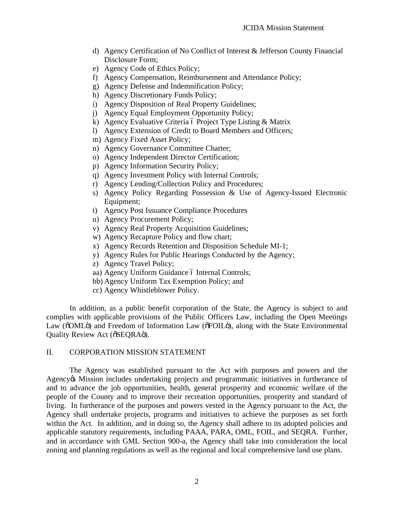- d) Agency Certification of No Conflict of Interest & Jefferson County Financial Disclosure Form;
- e) Agency Code of Ethics Policy;
- f) Agency Compensation, Reimbursement and Attendance Policy;
- g) Agency Defense and Indemnification Policy;
- h) Agency Discretionary Funds Policy;
- i) Agency Disposition of Real Property Guidelines;
- j) Agency Equal Employment Opportunity Policy;
- k) Agency Evaluative Criteria  $\acute{o}$  Project Type Listing  $\&$  Matrix
- l) Agency Extension of Credit to Board Members and Officers;
- m) Agency Fixed Asset Policy;
- n) Agency Governance Committee Charter;
- o) Agency Independent Director Certification;
- p) Agency Information Security Policy;
- q) Agency Investment Policy with Internal Controls;
- r) Agency Lending/Collection Policy and Procedures;
- s) Agency Policy Regarding Possession & Use of Agency-Issued Electronic Equipment;
- t) Agency Post Issuance Compliance Procedures
- u) Agency Procurement Policy;
- v) Agency Real Property Acquisition Guidelines;
- w) Agency Recapture Policy and flow chart;
- x) Agency Records Retention and Disposition Schedule MI-1;
- y) Agency Rules for Public Hearings Conducted by the Agency;
- z) Agency Travel Policy;
- aa) Agency Uniform Guidance ó Internal Controls;
- bb) Agency Uniform Tax Exemption Policy; and
- cc) Agency Whistleblower Policy.

In addition, as a public benefit corporation of the State, the Agency is subject to and complies with applicable provisions of the Public Officers Law, including the Open Meetings Law ( $\delta$ OML $\ddot{o}$ ) and Freedom of Information Law ( $\delta$ FOIL $\ddot{o}$ ), along with the State Environmental Quality Review Act ( $\delta$ SEQRA $\ddot{\rm{o}}$ ).

## II. CORPORATION MISSION STATEMENT

The Agency was established pursuant to the Act with purposes and powers and the Agency & Mission includes undertaking projects and programmatic initiatives in furtherance of and to advance the job opportunities, health, general prosperity and economic welfare of the people of the County and to improve their recreation opportunities, prosperity and standard of living. In furtherance of the purposes and powers vested in the Agency pursuant to the Act, the Agency shall undertake projects, programs and initiatives to achieve the purposes as set forth within the Act. In addition, and in doing so, the Agency shall adhere to its adopted policies and applicable statutory requirements, including PAAA, PARA, OML, FOIL, and SEQRA. Further, and in accordance with GML Section 900-a, the Agency shall take into consideration the local zoning and planning regulations as well as the regional and local comprehensive land use plans.